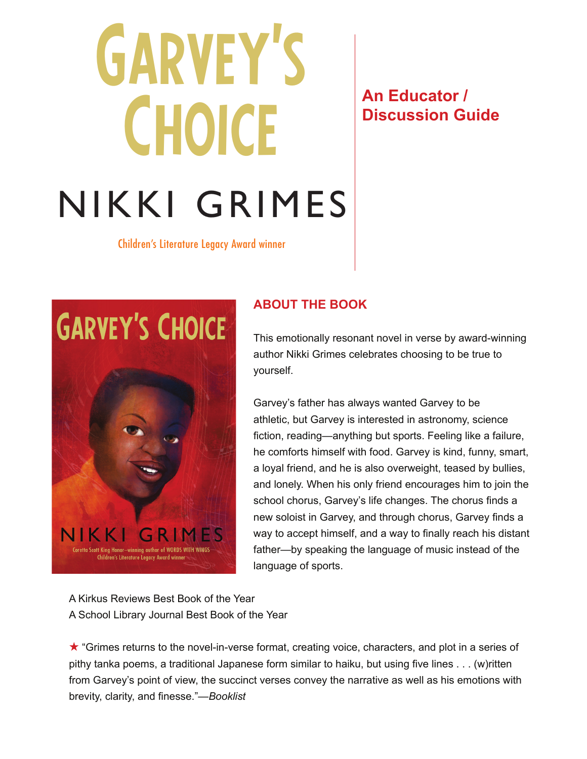# Garvey's **CHOICE** NIKKI GRIMES

# **An Educator / Discussion Guide**

Children's Literature Legacy Award winner



# **ABOUT THE BOOK**

This emotionally resonant novel in verse by award-winning author Nikki Grimes celebrates choosing to be true to yourself.

Garvey's father has always wanted Garvey to be athletic, but Garvey is interested in astronomy, science fiction, reading—anything but sports. Feeling like a failure, he comforts himself with food. Garvey is kind, funny, smart, a loyal friend, and he is also overweight, teased by bullies, and lonely. When his only friend encourages him to join the school chorus, Garvey's life changes. The chorus finds a new soloist in Garvey, and through chorus, Garvey finds a way to accept himself, and a way to finally reach his distant father—by speaking the language of music instead of the language of sports.

A Kirkus Reviews Best Book of the Year A School Library Journal Best Book of the Year

★ "Grimes returns to the novel-in-verse format, creating voice, characters, and plot in a series of pithy tanka poems, a traditional Japanese form similar to haiku, but using five lines . . . (w)ritten from Garvey's point of view, the succinct verses convey the narrative as well as his emotions with brevity, clarity, and finesse."—*Booklist*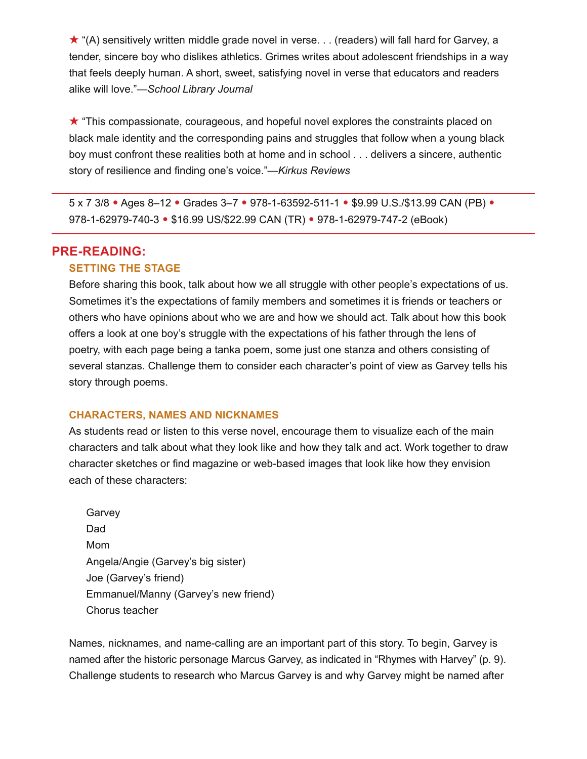★ "(A) sensitively written middle grade novel in verse. . . (readers) will fall hard for Garvey, a tender, sincere boy who dislikes athletics. Grimes writes about adolescent friendships in a way that feels deeply human. A short, sweet, satisfying novel in verse that educators and readers alike will love."—*School Library Journal*

★ "This compassionate, courageous, and hopeful novel explores the constraints placed on black male identity and the corresponding pains and struggles that follow when a young black boy must confront these realities both at home and in school . . . delivers a sincere, authentic story of resilience and finding one's voice."—*Kirkus Reviews*

5 x 7 3/8 • Ages 8–12 • Grades 3–7 • 978-1-63592-511-1 • \$9.99 U.S./\$13.99 CAN (PB) • 978-1-62979-740-3 • \$16.99 US/\$22.99 CAN (TR) • 978-1-62979-747-2 (eBook)

# **PRE-READING:**

#### **SETTING THE STAGE**

Before sharing this book, talk about how we all struggle with other people's expectations of us. Sometimes it's the expectations of family members and sometimes it is friends or teachers or others who have opinions about who we are and how we should act. Talk about how this book offers a look at one boy's struggle with the expectations of his father through the lens of poetry, with each page being a tanka poem, some just one stanza and others consisting of several stanzas. Challenge them to consider each character's point of view as Garvey tells his story through poems.

#### **CHARACTERS, NAMES AND NICKNAMES**

As students read or listen to this verse novel, encourage them to visualize each of the main characters and talk about what they look like and how they talk and act. Work together to draw character sketches or find magazine or web-based images that look like how they envision each of these characters:

**Garvey** Dad Mom Angela/Angie (Garvey's big sister) Joe (Garvey's friend) Emmanuel/Manny (Garvey's new friend) Chorus teacher

Names, nicknames, and name-calling are an important part of this story. To begin, Garvey is named after the historic personage Marcus Garvey, as indicated in "Rhymes with Harvey" (p. 9). Challenge students to research who Marcus Garvey is and why Garvey might be named after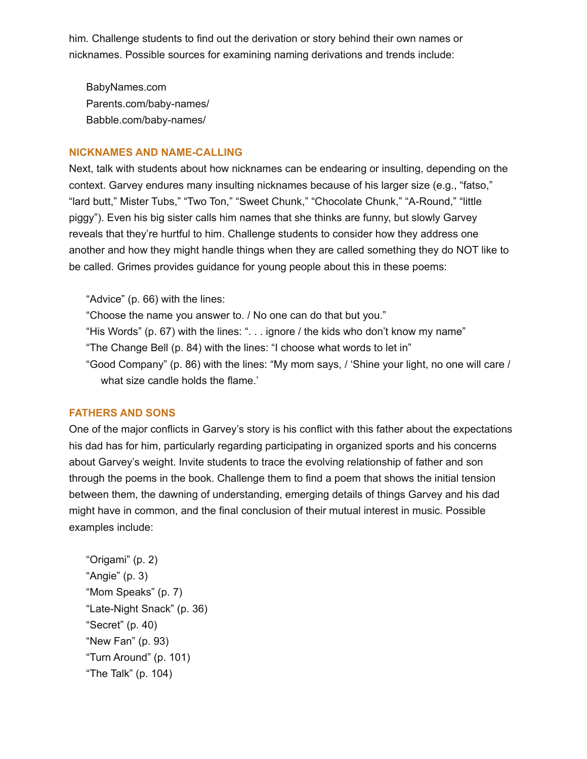him. Challenge students to find out the derivation or story behind their own names or nicknames. Possible sources for examining naming derivations and trends include:

BabyNames.com Parents.com/baby-names/ Babble.com/baby-names/

#### **NICKNAMES AND NAME-CALLING**

Next, talk with students about how nicknames can be endearing or insulting, depending on the context. Garvey endures many insulting nicknames because of his larger size (e.g., "fatso," "lard butt," Mister Tubs," "Two Ton," "Sweet Chunk," "Chocolate Chunk," "A-Round," "little piggy"). Even his big sister calls him names that she thinks are funny, but slowly Garvey reveals that they're hurtful to him. Challenge students to consider how they address one another and how they might handle things when they are called something they do NOT like to be called. Grimes provides guidance for young people about this in these poems:

"Advice" (p. 66) with the lines:

"Choose the name you answer to. / No one can do that but you."

"His Words" (p. 67) with the lines: ". . . ignore / the kids who don't know my name"

"The Change Bell (p. 84) with the lines: "I choose what words to let in"

"Good Company" (p. 86) with the lines: "My mom says, / 'Shine your light, no one will care / what size candle holds the flame.'

# **FATHERS AND SONS**

One of the major conflicts in Garvey's story is his conflict with this father about the expectations his dad has for him, particularly regarding participating in organized sports and his concerns about Garvey's weight. Invite students to trace the evolving relationship of father and son through the poems in the book. Challenge them to find a poem that shows the initial tension between them, the dawning of understanding, emerging details of things Garvey and his dad might have in common, and the final conclusion of their mutual interest in music. Possible examples include:

"Origami" (p. 2) "Angie" (p. 3) "Mom Speaks" (p. 7) "Late-Night Snack" (p. 36) "Secret" (p. 40) "New Fan" (p. 93) "Turn Around" (p. 101) "The Talk" (p. 104)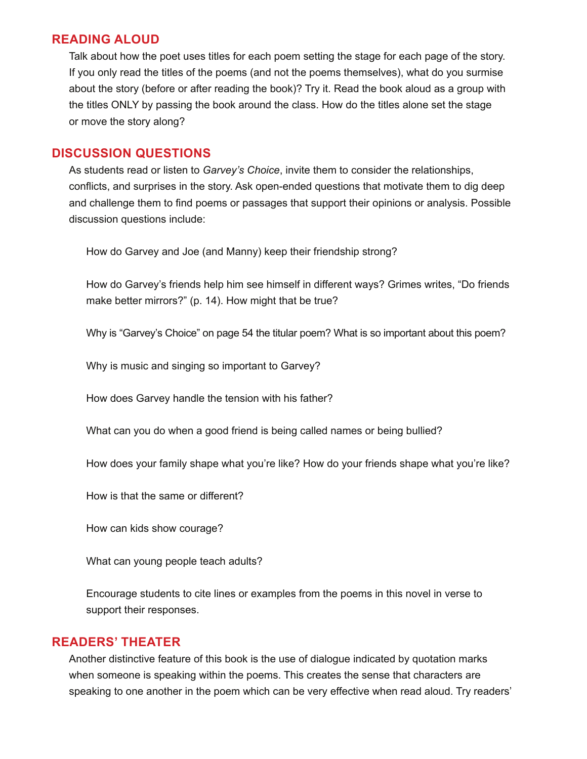# **READING ALOUD**

Talk about how the poet uses titles for each poem setting the stage for each page of the story. If you only read the titles of the poems (and not the poems themselves), what do you surmise about the story (before or after reading the book)? Try it. Read the book aloud as a group with the titles ONLY by passing the book around the class. How do the titles alone set the stage or move the story along?

# **DISCUSSION QUESTIONS**

As students read or listen to *Garvey's Choice*, invite them to consider the relationships, conflicts, and surprises in the story. Ask open-ended questions that motivate them to dig deep and challenge them to find poems or passages that support their opinions or analysis. Possible discussion questions include:

How do Garvey and Joe (and Manny) keep their friendship strong?

How do Garvey's friends help him see himself in different ways? Grimes writes, "Do friends make better mirrors?" (p. 14). How might that be true?

Why is "Garvey's Choice" on page 54 the titular poem? What is so important about this poem?

Why is music and singing so important to Garvey?

How does Garvey handle the tension with his father?

What can you do when a good friend is being called names or being bullied?

How does your family shape what you're like? How do your friends shape what you're like?

How is that the same or different?

How can kids show courage?

What can young people teach adults?

Encourage students to cite lines or examples from the poems in this novel in verse to support their responses.

# **READERS' THEATER**

Another distinctive feature of this book is the use of dialogue indicated by quotation marks when someone is speaking within the poems. This creates the sense that characters are speaking to one another in the poem which can be very effective when read aloud. Try readers'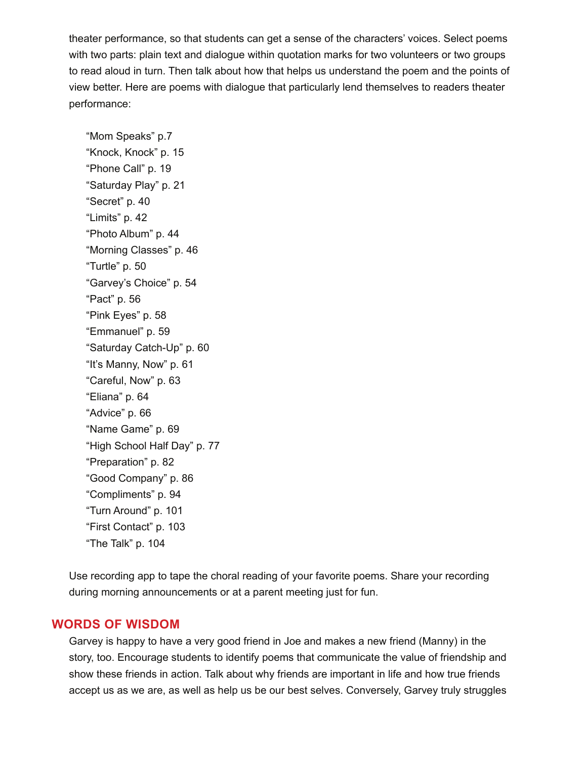theater performance, so that students can get a sense of the characters' voices. Select poems with two parts: plain text and dialogue within quotation marks for two volunteers or two groups to read aloud in turn. Then talk about how that helps us understand the poem and the points of view better. Here are poems with dialogue that particularly lend themselves to readers theater performance:

"Mom Speaks" p.7 "Knock, Knock" p. 15 "Phone Call" p. 19 "Saturday Play" p. 21 "Secret" p. 40 "Limits" p. 42 "Photo Album" p. 44 "Morning Classes" p. 46 "Turtle" p. 50 "Garvey's Choice" p. 54 "Pact" p. 56 "Pink Eyes" p. 58 "Emmanuel" p. 59 "Saturday Catch-Up" p. 60 "It's Manny, Now" p. 61 "Careful, Now" p. 63 "Eliana" p. 64 "Advice" p. 66 "Name Game" p. 69 "High School Half Day" p. 77 "Preparation" p. 82 "Good Company" p. 86 "Compliments" p. 94 "Turn Around" p. 101 "First Contact" p. 103 "The Talk" p. 104

Use recording app to tape the choral reading of your favorite poems. Share your recording during morning announcements or at a parent meeting just for fun.

# **WORDS OF WISDOM**

Garvey is happy to have a very good friend in Joe and makes a new friend (Manny) in the story, too. Encourage students to identify poems that communicate the value of friendship and show these friends in action. Talk about why friends are important in life and how true friends accept us as we are, as well as help us be our best selves. Conversely, Garvey truly struggles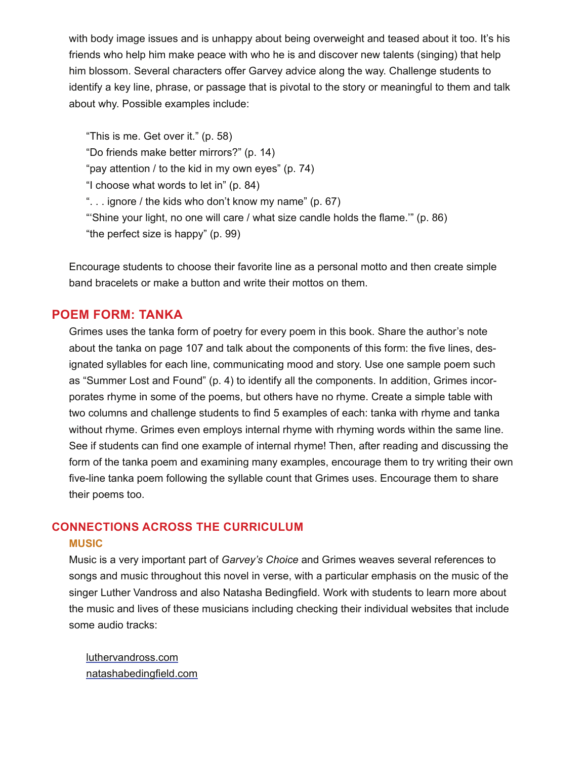with body image issues and is unhappy about being overweight and teased about it too. It's his friends who help him make peace with who he is and discover new talents (singing) that help him blossom. Several characters offer Garvey advice along the way. Challenge students to identify a key line, phrase, or passage that is pivotal to the story or meaningful to them and talk about why. Possible examples include:

"This is me. Get over it." (p. 58) "Do friends make better mirrors?" (p. 14) "pay attention / to the kid in my own eyes" (p. 74) "I choose what words to let in" (p. 84) ". . . ignore / the kids who don't know my name" (p. 67) "'Shine your light, no one will care / what size candle holds the flame.'" (p. 86) "the perfect size is happy" (p. 99)

Encourage students to choose their favorite line as a personal motto and then create simple band bracelets or make a button and write their mottos on them.

# **POEM FORM: TANKA**

Grimes uses the tanka form of poetry for every poem in this book. Share the author's note about the tanka on page 107 and talk about the components of this form: the five lines, designated syllables for each line, communicating mood and story. Use one sample poem such as "Summer Lost and Found" (p. 4) to identify all the components. In addition, Grimes incorporates rhyme in some of the poems, but others have no rhyme. Create a simple table with two columns and challenge students to find 5 examples of each: tanka with rhyme and tanka without rhyme. Grimes even employs internal rhyme with rhyming words within the same line. See if students can find one example of internal rhyme! Then, after reading and discussing the form of the tanka poem and examining many examples, encourage them to try writing their own five-line tanka poem following the syllable count that Grimes uses. Encourage them to share their poems too.

# **CONNECTIONS ACROSS THE CURRICULUM**

# **MUSIC**

Music is a very important part of *Garvey's Choice* and Grimes weaves several references to songs and music throughout this novel in verse, with a particular emphasis on the music of the singer Luther Vandross and also Natasha Bedingfield. Work with students to learn more about the music and lives of these musicians including checking their individual websites that include some audio tracks:

luthervandross.com natashabedingfield.com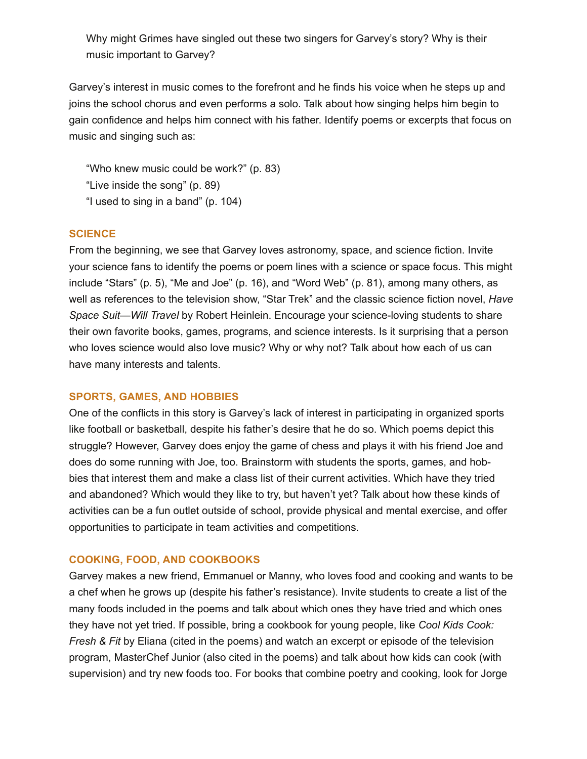Why might Grimes have singled out these two singers for Garvey's story? Why is their music important to Garvey?

Garvey's interest in music comes to the forefront and he finds his voice when he steps up and joins the school chorus and even performs a solo. Talk about how singing helps him begin to gain confidence and helps him connect with his father. Identify poems or excerpts that focus on music and singing such as:

"Who knew music could be work?" (p. 83) "Live inside the song" (p. 89) "I used to sing in a band" (p. 104)

# **SCIENCE**

From the beginning, we see that Garvey loves astronomy, space, and science fiction. Invite your science fans to identify the poems or poem lines with a science or space focus. This might include "Stars" (p. 5), "Me and Joe" (p. 16), and "Word Web" (p. 81), among many others, as well as references to the television show, "Star Trek" and the classic science fiction novel, *Have Space Suit—Will Travel* by Robert Heinlein. Encourage your science-loving students to share their own favorite books, games, programs, and science interests. Is it surprising that a person who loves science would also love music? Why or why not? Talk about how each of us can have many interests and talents.

# **SPORTS, GAMES, AND HOBBIES**

One of the conflicts in this story is Garvey's lack of interest in participating in organized sports like football or basketball, despite his father's desire that he do so. Which poems depict this struggle? However, Garvey does enjoy the game of chess and plays it with his friend Joe and does do some running with Joe, too. Brainstorm with students the sports, games, and hobbies that interest them and make a class list of their current activities. Which have they tried and abandoned? Which would they like to try, but haven't yet? Talk about how these kinds of activities can be a fun outlet outside of school, provide physical and mental exercise, and offer opportunities to participate in team activities and competitions.

# **COOKING, FOOD, AND COOKBOOKS**

Garvey makes a new friend, Emmanuel or Manny, who loves food and cooking and wants to be a chef when he grows up (despite his father's resistance). Invite students to create a list of the many foods included in the poems and talk about which ones they have tried and which ones they have not yet tried. If possible, bring a cookbook for young people, like *Cool Kids Cook: Fresh & Fit* by Eliana (cited in the poems) and watch an excerpt or episode of the television program, MasterChef Junior (also cited in the poems) and talk about how kids can cook (with supervision) and try new foods too. For books that combine poetry and cooking, look for Jorge